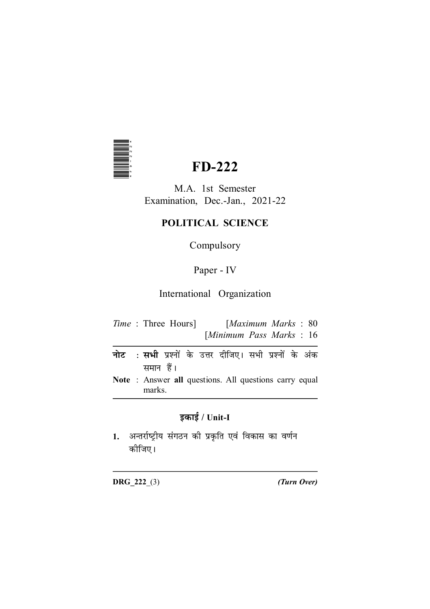

# **FD-222**

M.A. 1st Semester Examination, Dec.-Jan., 2021-22

# POLITICAL SCIENCE

Compulsory

# Paper - IV

# International Organization

|  | <i>Time</i> : Three Hours] | [Maximum Marks: 80]      |  |  |  |
|--|----------------------------|--------------------------|--|--|--|
|  |                            | [Minimum Pass Marks: 16] |  |  |  |

- : **सभी** प्रश्नों के उत्तर दीजिए। सभी प्रश्नों के अंक नोट समान हैं।
- Note: Answer all questions. All questions carry equal marks.

# इकाई / Unit-I

1. अन्तर्राष्ट्रीय संगठन की प्रकृति एवं विकास का वर्णन कोजिए।

 $DRG_222_ (3)$ 

(Turn Over)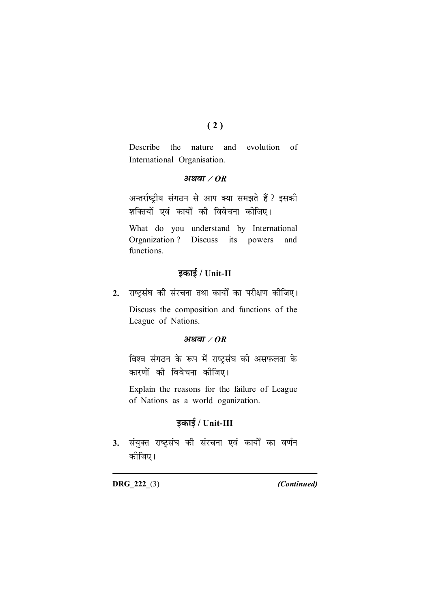### $(2)$

Describe the nature and evolution of International Organisation.

### अथवा $\angle$ OR

अन्तर्राष्ट्रीय संगठन से आप क्या समझते हैं ? इसकी शक्तियों एवं कार्यों की विवेचना कीजिए।

What do you understand by International Organization ? Discuss its powers and functions.

### इकाई / Unit-II

राष्ट्रसंघ की संरचना तथा कार्यों का परीक्षण कीजिए।  $2.$ 

Discuss the composition and functions of the League of Nations.

### अथवा $\angle$ OR

विश्व संगठन के रूप में राष्ट्रसंघ की असफलता के कारणों की विवेचना कीजिए।

Explain the reasons for the failure of League of Nations as a world oganization.

### इकाई / Unit-III

3. संयुक्त राष्ट्रसंघ की संरचना एवं कार्यों का वर्णन कोजिए।

**DRG 222 (3)** 

(Continued)